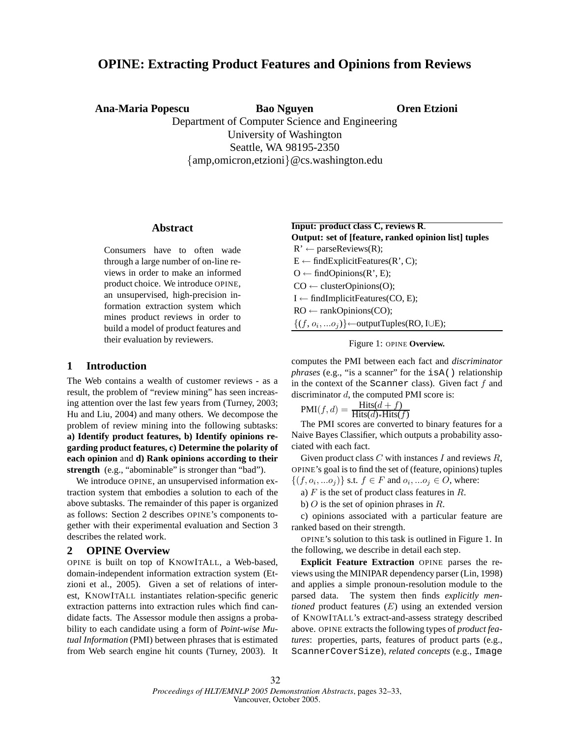# **OPINE: Extracting Product Features and Opinions from Reviews**

**Ana-Maria Popescu Bao Nguyen**

**Oren Etzioni**

Department of Computer Science and Engineering University of Washington Seattle, WA 98195-2350 {amp,omicron,etzioni}@cs.washington.edu

#### **Abstract**

Consumers have to often wade through a large number of on-line reviews in order to make an informed product choice. We introduce OPINE, an unsupervised, high-precision information extraction system which mines product reviews in order to build a model of product features and their evaluation by reviewers.

## **1 Introduction**

The Web contains a wealth of customer reviews - as a result, the problem of "review mining" has seen increasing attention over the last few years from (Turney, 2003; Hu and Liu, 2004) and many others. We decompose the problem of review mining into the following subtasks: **a) Identify product features, b) Identify opinions regarding product features, c) Determine the polarity of each opinion** and **d) Rank opinions according to their** strength (e.g., "abominable" is stronger than "bad").

We introduce OPINE, an unsupervised information extraction system that embodies a solution to each of the above subtasks. The remainder of this paper is organized as follows: Section 2 describes OPINE's components together with their experimental evaluation and Section 3 describes the related work.

## **2 OPINE Overview**

OPINE is built on top of KNOWITALL, a Web-based, domain-independent information extraction system (Etzioni et al., 2005). Given a set of relations of interest, KNOWITALL instantiates relation-specific generic extraction patterns into extraction rules which find candidate facts. The Assessor module then assigns a probability to each candidate using a form of *Point-wise Mutual Information* (PMI) between phrases that is estimated from Web search engine hit counts (Turney, 2003). It

| <b>Input: product class C, reviews R.</b>                         |
|-------------------------------------------------------------------|
| Output: set of [feature, ranked opinion list] tuples              |
| $R' \leftarrow parseReview(R);$                                   |
| $E \leftarrow findExplicitFeatures(R', C);$                       |
| $O \leftarrow findOpinions(R', E);$                               |
| $CO \leftarrow$ clusterOpinions(O);                               |
| $I \leftarrow$ findImplicitFeatures(CO, E);                       |
| $RO \leftarrow$ rankOpinions(CO);                                 |
| $\{(f, o_i,  o_j)\}$ $\leftarrow$ output Tuples (RO, I $\cup$ E); |

#### Figure 1: OPINE **Overview.**

computes the PMI between each fact and *discriminator phrases* (e.g., "is a scanner" for the isA() relationship in the context of the Scanner class). Given fact  $f$  and discriminator d, the computed PMI score is:

$$
PMI(f, d) = \frac{Hist(d + f)}{Hist(d) * Hist(f)}
$$

The PMI scores are converted to binary features for a Naive Bayes Classifier, which outputs a probability associated with each fact.

Given product class  $C$  with instances  $I$  and reviews  $R$ , OPINE's goal is to find the set of (feature, opinions) tuples  $\{(f, o_i, ... o_j)\}\$  s.t.  $f \in F$  and  $o_i, ... o_j \in O$ , where:

a)  $F$  is the set of product class features in  $R$ .

b)  $O$  is the set of opinion phrases in  $R$ .

c) opinions associated with a particular feature are ranked based on their strength.

OPINE's solution to this task is outlined in Figure 1. In the following, we describe in detail each step.

**Explicit Feature Extraction** OPINE parses the reviews using the MINIPAR dependency parser (Lin, 1998) and applies a simple pronoun-resolution module to the parsed data. The system then finds *explicitly mentioned* product features (E) using an extended version of KNOWITALL's extract-and-assess strategy described above. OPINE extracts the following types of *product features*: properties, parts, features of product parts (e.g., ScannerCoverSize), *related concepts* (e.g., Image